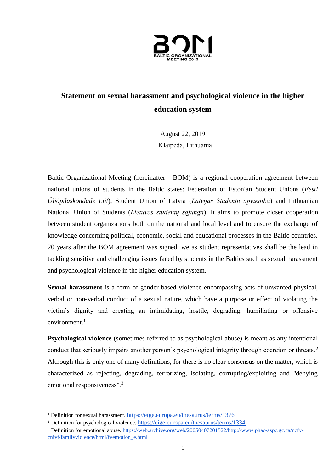

## **Statement on sexual harassment and psychological violence in the higher education system**

August 22, 2019 Klaipėda, Lithuania

Baltic Organizational Meeting (hereinafter - BOM) is a regional cooperation agreement between national unions of students in the Baltic states: Federation of Estonian Student Unions (*Eesti Üliõpilaskondade Liit*), Student Union of Latvia (*Latvijas Studentu apvienība*) and Lithuanian National Union of Students (*Lietuvos studentų sąjunga*). It aims to promote closer cooperation between student organizations both on the national and local level and to ensure the exchange of knowledge concerning political, economic, social and educational processes in the Baltic countries. 20 years after the BOM agreement was signed, we as student representatives shall be the lead in tackling sensitive and challenging issues faced by students in the Baltics such as sexual harassment and psychological violence in the higher education system.

**Sexual harassment** is a form of gender-based violence encompassing acts of unwanted physical, verbal or non-verbal conduct of a sexual nature, which have a purpose or effect of violating the victim's dignity and creating an intimidating, hostile, degrading, humiliating or offensive environment. $1$ 

**Psychological violence** (sometimes referred to as psychological abuse) is meant as any intentional conduct that seriously impairs another person's psychological integrity through coercion or threats.<sup>2</sup> Although this is only one of many definitions, for there is no clear consensus on the matter, which is characterized as rejecting, degrading, terrorizing, isolating, corrupting/exploiting and "denying emotional responsiveness".<sup>3</sup>

<sup>1</sup> Definition for sexual harassment. <https://eige.europa.eu/thesaurus/terms/1376>

<sup>&</sup>lt;sup>2</sup> Definition for psychological violence. <https://eige.europa.eu/thesaurus/terms/1334>

<sup>&</sup>lt;sup>3</sup> Definition for emotional abuse. [https://web.archive.org/web/20050407201522/http://www.phac-aspc.gc.ca/ncfv](https://web.archive.org/web/20050407201522/http:/www.phac-aspc.gc.ca/ncfv-cnivf/familyviolence/html/fvemotion_e.html)[cnivf/familyviolence/html/fvemotion\\_e.html](https://web.archive.org/web/20050407201522/http:/www.phac-aspc.gc.ca/ncfv-cnivf/familyviolence/html/fvemotion_e.html)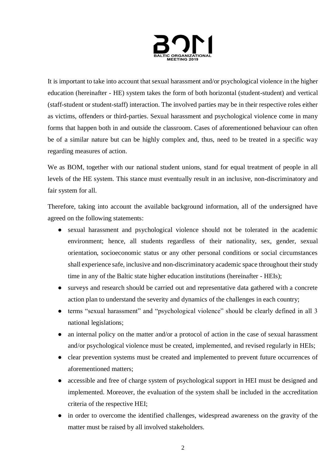

It is important to take into account that sexual harassment and/or psychological violence in the higher education (hereinafter - HE) system takes the form of both horizontal (student-student) and vertical (staff-student or student-staff) interaction. The involved parties may be in their respective roles either as victims, offenders or third-parties. Sexual harassment and psychological violence come in many forms that happen both in and outside the classroom. Cases of aforementioned behaviour can often be of a similar nature but can be highly complex and, thus, need to be treated in a specific way regarding measures of action.

We as BOM, together with our national student unions, stand for equal treatment of people in all levels of the HE system. This stance must eventually result in an inclusive, non-discriminatory and fair system for all.

Therefore, taking into account the available background information, all of the undersigned have agreed on the following statements:

- sexual harassment and psychological violence should not be tolerated in the academic environment; hence, all students regardless of their nationality, sex, gender, sexual orientation, socioeconomic status or any other personal conditions or social circumstances shall experience safe, inclusive and non-discriminatory academic space throughout their study time in any of the Baltic state higher education institutions (hereinafter - HEIs);
- surveys and research should be carried out and representative data gathered with a concrete action plan to understand the severity and dynamics of the challenges in each country;
- terms "sexual harassment" and "psychological violence" should be clearly defined in all 3 national legislations;
- an internal policy on the matter and/or a protocol of action in the case of sexual harassment and/or psychological violence must be created, implemented, and revised regularly in HEIs;
- clear prevention systems must be created and implemented to prevent future occurrences of aforementioned matters;
- accessible and free of charge system of psychological support in HEI must be designed and implemented. Moreover, the evaluation of the system shall be included in the accreditation criteria of the respective HEI;
- in order to overcome the identified challenges, widespread awareness on the gravity of the matter must be raised by all involved stakeholders.